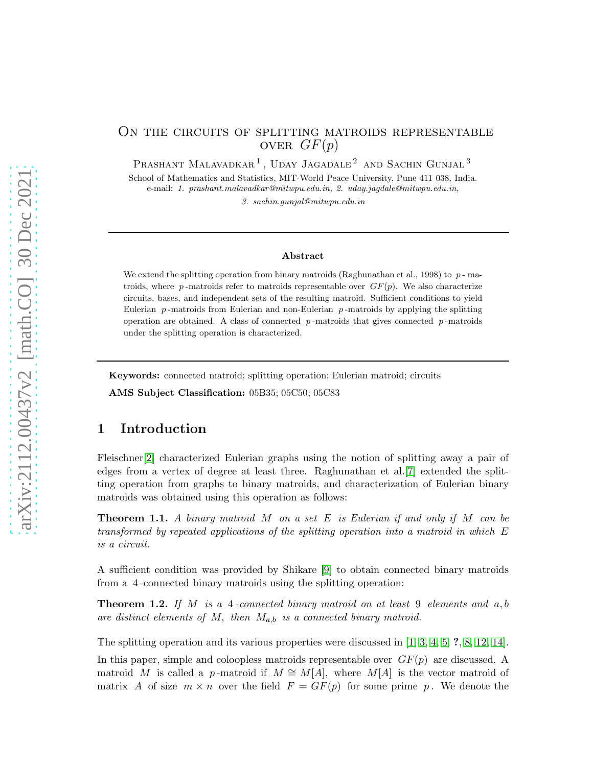## On the circuits of splitting matroids representable OVER  $GF(p)$

PRASHANT MALAVADKAR<sup>1</sup>, UDAY JAGADALE<sup>2</sup> AND SACHIN GUNJAL<sup>3</sup>

School of Mathematics and Statistics, MIT-World Peace University, Pune 411 038, India. e-mail: 1. prashant.malavadkar@mitwpu.edu.in, 2. uday.jagdale@mitwpu.edu.in,

3. sachin.gunjal@mitwpu.edu.in

#### Abstract

We extend the splitting operation from binary matroids (Raghunathan et al., 1998) to  $p$ -matroids, where p-matroids refer to matroids representable over  $GF(p)$ . We also characterize circuits, bases, and independent sets of the resulting matroid. Sufficient conditions to yield Eulerian  $p$ -matroids from Eulerian and non-Eulerian  $p$ -matroids by applying the splitting operation are obtained. A class of connected  $p$ -matroids that gives connected  $p$ -matroids under the splitting operation is characterized.

Keywords: connected matroid; splitting operation; Eulerian matroid; circuits

AMS Subject Classification: 05B35; 05C50; 05C83

# 1 Introduction

Fleischner[\[2\]](#page-12-0) characterized Eulerian graphs using the notion of splitting away a pair of edges from a vertex of degree at least three. Raghunathan et al.[\[7\]](#page-12-1) extended the splitting operation from graphs to binary matroids, and characterization of Eulerian binary matroids was obtained using this operation as follows:

<span id="page-0-0"></span>Theorem 1.1. *A binary matroid* M *on a set* E *is Eulerian if and only if* M *can be transformed by repeated applications of the splitting operation into a matroid in which* E *is a circuit.*

A sufficient condition was provided by Shikare [\[9\]](#page-12-2) to obtain connected binary matroids from a 4 -connected binary matroids using the splitting operation:

Theorem 1.2. *If* M *is a* 4 *-connected binary matroid on at least* 9 *elements and* a, b *are distinct elements of* M, *then* Ma,b *is a connected binary matroid.*

The splitting operation and its various properties were discussed in [\[1,](#page-12-3) [3,](#page-12-4) [4,](#page-12-5) [5,](#page-12-6) ?, [8,](#page-12-7) [12,](#page-12-8) [14\]](#page-12-9).

In this paper, simple and coloopless matroids representable over  $GF(p)$  are discussed. A matroid M is called a p-matroid if  $M \cong M[A]$ , where  $M[A]$  is the vector matroid of matrix A of size  $m \times n$  over the field  $F = GF(p)$  for some prime p. We denote the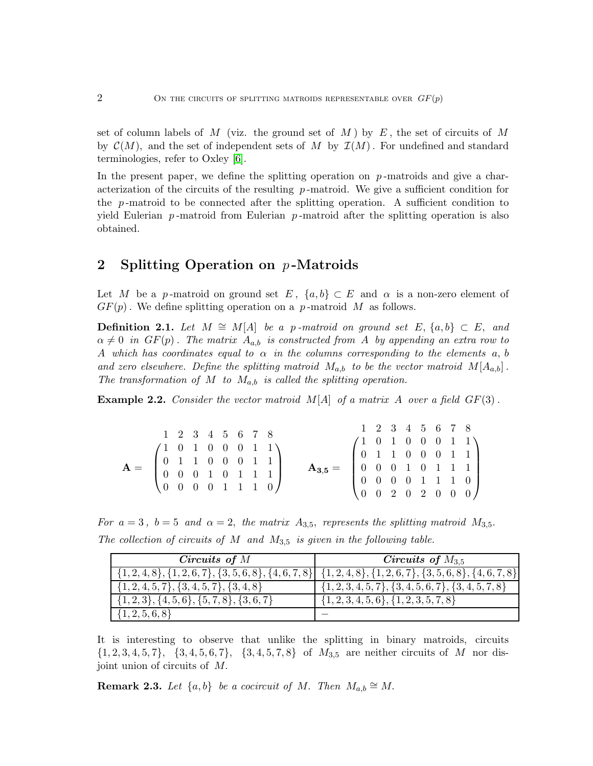set of column labels of M (viz. the ground set of M) by  $E$ , the set of circuits of M by  $\mathcal{C}(M)$ , and the set of independent sets of M by  $\mathcal{I}(M)$ . For undefined and standard terminologies, refer to Oxley [\[6\]](#page-12-10).

In the present paper, we define the splitting operation on  $p$ -matroids and give a characterization of the circuits of the resulting  $p$ -matroid. We give a sufficient condition for the  $p$ -matroid to be connected after the splitting operation. A sufficient condition to yield Eulerian  $p$ -matroid from Eulerian  $p$ -matroid after the splitting operation is also obtained.

# 2 Splitting Operation on  $p$ -Matroids

Let M be a p-matroid on ground set E,  $\{a, b\} \subset E$  and  $\alpha$  is a non-zero element of  $GF(p)$ . We define splitting operation on a p-matroid M as follows.

<span id="page-1-0"></span>**Definition 2.1.** Let  $M \cong M[A]$  be a p-matroid on ground set  $E$ ,  $\{a, b\}$  ⊂  $E$ , and  $\alpha \neq 0$  *in*  $GF(p)$ . The matrix  $A_{a,b}$  *is constructed from* A *by appending an extra row to* A which has coordinates equal to  $\alpha$  in the columns corresponding to the elements  $a, b$ and zero elsewhere. Define the splitting matroid  $M_{a,b}$  to be the vector matroid  $M[A_{a,b}]$ . *The transformation of* M *to* Ma,b *is called the splitting operation.*

<span id="page-1-1"></span>**Example 2.2.** Consider the vector matroid  $M[A]$  of a matrix A over a field  $GF(3)$ .

|  |  |                                                                                                                                                                                                                  |  |  |                                                                                                                                                                                                                      |  |  |  | 1 2 3 4 5 6 7 8 |
|--|--|------------------------------------------------------------------------------------------------------------------------------------------------------------------------------------------------------------------|--|--|----------------------------------------------------------------------------------------------------------------------------------------------------------------------------------------------------------------------|--|--|--|-----------------|
|  |  | $1 \t2 \t3 \t4 \t5 \t6 \t7 \t8$<br>$\mathbf{A} = \begin{pmatrix} 1 & 0 & 1 & 0 & 0 & 0 & 1 & 1 \\ 0 & 1 & 1 & 0 & 0 & 0 & 1 & 1 \\ 0 & 0 & 0 & 1 & 0 & 1 & 1 & 1 \\ 0 & 0 & 0 & 0 & 1 & 1 & 1 & 0 \end{pmatrix}$ |  |  |                                                                                                                                                                                                                      |  |  |  |                 |
|  |  |                                                                                                                                                                                                                  |  |  | $\mathbf{A}_{3,5} = \begin{pmatrix} 1 & 0 & 1 & 0 & 0 & 0 & 1 & 1 \\ 0 & 1 & 1 & 0 & 0 & 0 & 1 & 1 \\ 0 & 0 & 0 & 1 & 0 & 1 & 1 & 1 \\ 0 & 0 & 0 & 0 & 1 & 1 & 1 & 0 \\ 0 & 0 & 2 & 0 & 2 & 0 & 0 & 0 \end{pmatrix}$ |  |  |  |                 |

*For*  $a = 3$ ,  $b = 5$  and  $\alpha = 2$ , the matrix  $A_{3,5}$ , represents the splitting matroid  $M_{3,5}$ . *The collection of circuits of* M *and* M3,<sup>5</sup> *is given in the following table.*

| Circuits of $M$                                                                                                 | Circuits of $M_{3.5}$                                        |
|-----------------------------------------------------------------------------------------------------------------|--------------------------------------------------------------|
| $\{ \{1,2,4,8\}, \{1,2,6,7\}, \{3,5,6,8\}, \{4,6,7,8\}$ $\{ \{1,2,4,8\}, \{1,2,6,7\}, \{3,5,6,8\}, \{4,6,7,8\}$ |                                                              |
| $\{1, 2, 4, 5, 7\}, \{3, 4, 5, 7\}, \{3, 4, 8\}$                                                                | $\{1, 2, 3, 4, 5, 7\}, \{3, 4, 5, 6, 7\}, \{3, 4, 5, 7, 8\}$ |
| $\{1,2,3\}, \{4,5,6\}, \{5,7,8\}, \{3,6,7\}$                                                                    | $\{1, 2, 3, 4, 5, 6\}, \{1, 2, 3, 5, 7, 8\}$                 |
| $\{1, 2, 5, 6, 8\}$                                                                                             |                                                              |

It is interesting to observe that unlike the splitting in binary matroids, circuits  $\{1, 2, 3, 4, 5, 7\}, \{3, 4, 5, 6, 7\}, \{3, 4, 5, 7, 8\}$  of  $M_{3,5}$  are neither circuits of M nor disjoint union of circuits of M.

**Remark 2.3.** *Let*  $\{a, b\}$  *be a cocircuit of M. Then*  $M_{a,b} \cong M$ .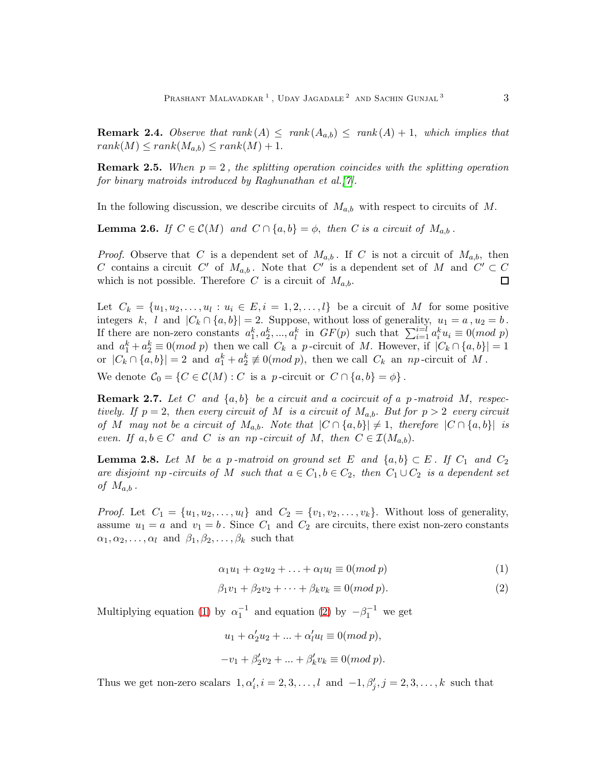**Remark 2.4.** *Observe that rank*  $(A) \leq rank(A_{a,b}) \leq rank(A) + 1$ , *which implies that*  $rank(M) \leq rank(M_{a,b}) \leq rank(M) + 1.$ 

**Remark 2.5.** When  $p = 2$ , the splitting operation coincides with the splitting operation *for binary matroids introduced by Raghunathan et al.[\[7\]](#page-12-1).*

In the following discussion, we describe circuits of  $M_{a,b}$  with respect to circuits of M.

**Lemma 2.6.** *If*  $C \in \mathcal{C}(M)$  *and*  $C \cap \{a, b\} = \phi$ , *then C is a circuit of*  $M_{a,b}$ .

*Proof.* Observe that C is a dependent set of  $M_{a,b}$ . If C is not a circuit of  $M_{a,b}$ , then C contains a circuit C' of  $M_{a,b}$ . Note that C' is a dependent set of M and  $C' \subset C$ which is not possible. Therefore C is a circuit of  $M_{a,b}$ .  $\Box$ 

Let  $C_k = \{u_1, u_2, \ldots, u_l : u_i \in E, i = 1, 2, \ldots, l\}$  be a circuit of M for some positive integers k, l and  $|C_k \cap \{a, b\}| = 2$ . Suppose, without loss of generality,  $u_1 = a$ ,  $u_2 = b$ . If there are non-zero constants  $a_1^k, a_2^k, ..., a_l^k$  in  $GF(p)$  such that  $\sum_{i=1}^{i=l} a_i^k u_i \equiv 0 (mod p)$ and  $a_1^k + a_2^k \equiv 0 \pmod{p}$  then we call  $C_k$  a p-circuit of M. However, if  $|C_k \cap \{a, b\}| = 1$ or  $|C_k \cap \{a, b\}| = 2$  and  $a_1^k + a_2^k \not\equiv 0 \pmod{p}$ , then we call  $C_k$  an *np*-circuit of M.

We denote  $C_0 = \{C \in \mathcal{C}(M) : C$  is a p-circuit or  $C \cap \{a, b\} = \phi\}.$ 

Remark 2.7. *Let* C *and* {a, b} *be a circuit and a cocircuit of a* p *-matroid* M, *respectively.* If  $p = 2$ , then every circuit of M is a circuit of  $M_{a,b}$ . But for  $p > 2$  *every circuit of* M may not be a circuit of  $M_{a,b}$ . Note that  $|C \cap \{a,b\}| \neq 1$ , therefore  $|C \cap \{a,b\}|$  is *even.* If  $a, b \in C$  *and* C *is an np -circuit of* M, *then*  $C \in \mathcal{I}(M_{a,b})$ .

<span id="page-2-2"></span>**Lemma 2.8.** Let M be a p-matroid on ground set E and  $\{a,b\} \subset E$ . If  $C_1$  and  $C_2$ *are disjoint np -circuits of* M *such that*  $a \in C_1, b \in C_2$ , *then*  $C_1 \cup C_2$  *is a dependent set of*  $M_{a,b}$ .

*Proof.* Let  $C_1 = \{u_1, u_2, \ldots, u_l\}$  and  $C_2 = \{v_1, v_2, \ldots, v_k\}$ . Without loss of generality, assume  $u_1 = a$  and  $v_1 = b$ . Since  $C_1$  and  $C_2$  are circuits, there exist non-zero constants  $\alpha_1, \alpha_2, \ldots, \alpha_l$  and  $\beta_1, \beta_2, \ldots, \beta_k$  such that

<span id="page-2-0"></span>
$$
\alpha_1 u_1 + \alpha_2 u_2 + \ldots + \alpha_l u_l \equiv 0 \pmod{p} \tag{1}
$$

<span id="page-2-1"></span>
$$
\beta_1 v_1 + \beta_2 v_2 + \dots + \beta_k v_k \equiv 0 \pmod{p}.
$$
 (2)

Multiplying equation [\(1\)](#page-2-0) by  $\alpha_1^{-1}$  and equation [\(2\)](#page-2-1) by  $-\beta_1^{-1}$  we get

$$
u_1 + \alpha'_2 u_2 + \dots + \alpha'_l u_l \equiv 0 \pmod{p},
$$
  

$$
-v_1 + \beta'_2 v_2 + \dots + \beta'_k v_k \equiv 0 \pmod{p}.
$$

Thus we get non-zero scalars  $1, \alpha'_i, i = 2, 3, \ldots, l$  and  $-1, \beta'_j, j = 2, 3, \ldots, k$  such that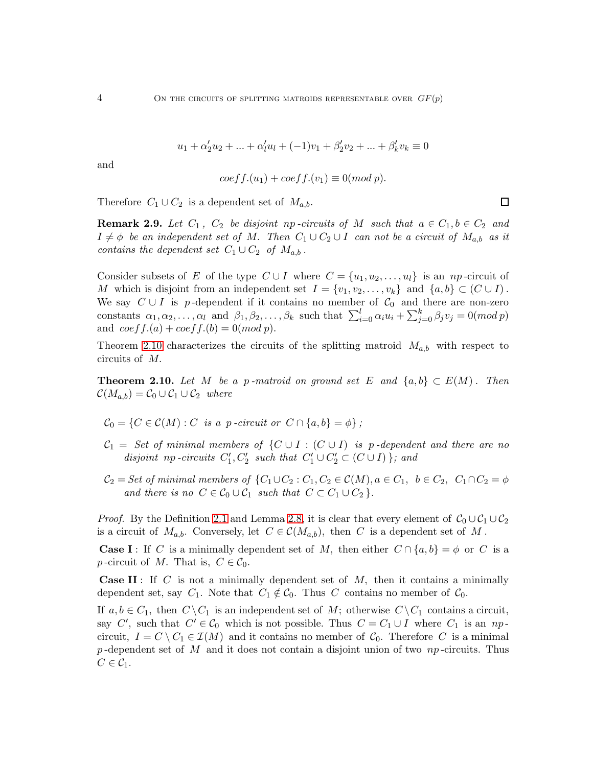$$
u_1 + \alpha'_2 u_2 + \dots + \alpha'_l u_l + (-1)v_1 + \beta'_2 v_2 + \dots + \beta'_k v_k \equiv 0
$$

and

$$
coeff.(u1) + coeff.(v1) \equiv 0(mod p).
$$

 $\Box$ 

Therefore  $C_1 \cup C_2$  is a dependent set of  $M_{a,b}$ .

<span id="page-3-1"></span>**Remark 2.9.** Let  $C_1$ ,  $C_2$  be disjoint np-circuits of M such that  $a \in C_1$ ,  $b \in C_2$  and  $I \neq \phi$  be an independent set of M. Then  $C_1 \cup C_2 \cup I$  can not be a circuit of  $M_{a,b}$  as it *contains the dependent set*  $C_1 \cup C_2$  *of*  $M_{a,b}$ .

Consider subsets of E of the type  $C \cup I$  where  $C = \{u_1, u_2, \ldots, u_l\}$  is an np-circuit of M which is disjoint from an independent set  $I = \{v_1, v_2, \ldots, v_k\}$  and  $\{a, b\} \subset (C \cup I)$ . We say  $C \cup I$  is p-dependent if it contains no member of  $C_0$  and there are non-zero constants  $\alpha_1, \alpha_2, \ldots, \alpha_l$  and  $\beta_1, \beta_2, \ldots, \beta_k$  such that  $\sum_{i=0}^l \alpha_i u_i + \sum_{j=0}^k \beta_j v_j = 0 \pmod{p}$ and  $coeff.(a) + coeff.(b) = 0(mod p).$ 

Theorem [2.10](#page-3-0) characterizes the circuits of the splitting matroid  $M_{a,b}$  with respect to circuits of M.

<span id="page-3-0"></span>**Theorem 2.10.** Let M be a p-matroid on ground set E and  $\{a, b\} \subset E(M)$ . Then  $\mathcal{C}(M_{a,b}) = \mathcal{C}_0 \cup \mathcal{C}_1 \cup \mathcal{C}_2$  where

- $\mathcal{C}_0 = \{C \in \mathcal{C}(M) : C \text{ is a } p \text{-}circuit \text{ or } C \cap \{a, b\} = \phi \};$
- $C_1 = Set of minimal members of  $\{C \cup I : (C \cup I)$  is p-dependent and there are no$ disjoint np *-circuits*  $C'_1, C'_2$  such that  $C'_1 \cup C'_2 \subset (C \cup I)$ }; and
- $\mathcal{C}_2 = Set$  of minimal members of  $\{C_1 \cup C_2 : C_1, C_2 \in \mathcal{C}(M), a \in C_1, b \in C_2, C_1 \cap C_2 = \phi\}$ *and there is no*  $C \in \mathcal{C}_0 \cup \mathcal{C}_1$  *such that*  $C \subset C_1 \cup C_2$ .

*Proof.* By the Definition [2.1](#page-1-0) and Lemma [2.8,](#page-2-2) it is clear that every element of  $C_0 \cup C_1 \cup C_2$ is a circuit of  $M_{a,b}$ . Conversely, let  $C \in \mathcal{C}(M_{a,b})$ , then C is a dependent set of M.

**Case I**: If C is a minimally dependent set of M, then either  $C \cap \{a, b\} = \phi$  or C is a p-circuit of M. That is,  $C \in \mathcal{C}_0$ .

**Case II**: If C is not a minimally dependent set of  $M$ , then it contains a minimally dependent set, say  $C_1$ . Note that  $C_1 \notin C_0$ . Thus C contains no member of  $C_0$ .

If  $a, b \in C_1$ , then  $C \setminus C_1$  is an independent set of M; otherwise  $C \setminus C_1$  contains a circuit, say C', such that  $C' \in \mathcal{C}_0$  which is not possible. Thus  $C = C_1 \cup I$  where  $C_1$  is an  $np$ . circuit,  $I = C \setminus C_1 \in \mathcal{I}(M)$  and it contains no member of  $C_0$ . Therefore C is a minimal p-dependent set of M and it does not contain a disjoint union of two  $np$ -circuits. Thus  $C \in \mathcal{C}_1$ .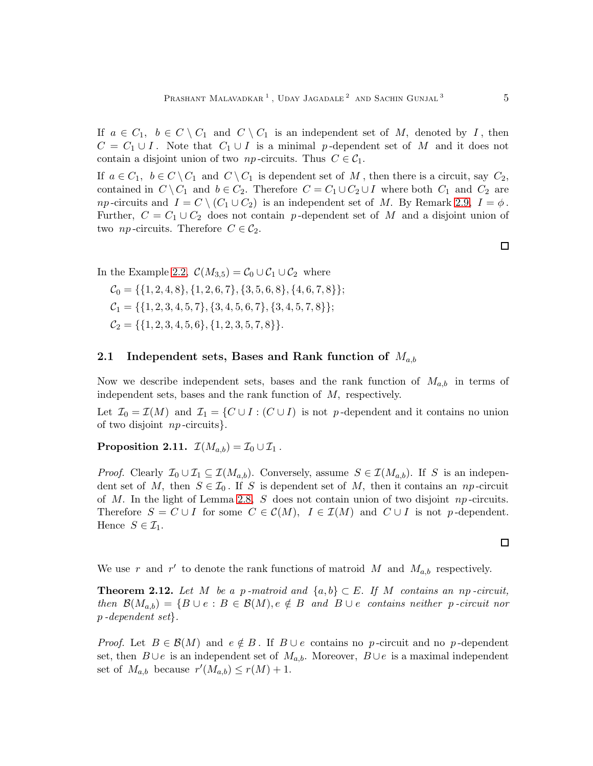If  $a \in C_1$ ,  $b \in C \setminus C_1$  and  $C \setminus C_1$  is an independent set of M, denoted by I, then  $C = C_1 \cup I$ . Note that  $C_1 \cup I$  is a minimal p-dependent set of M and it does not contain a disjoint union of two *np*-circuits. Thus  $C \in \mathcal{C}_1$ .

If  $a \in C_1$ ,  $b \in C \setminus C_1$  and  $C \setminus C_1$  is dependent set of M, then there is a circuit, say  $C_2$ , contained in  $C \setminus C_1$  and  $b \in C_2$ . Therefore  $C = C_1 \cup C_2 \cup I$  where both  $C_1$  and  $C_2$  are *np*-circuits and  $I = C \setminus (C_1 \cup C_2)$  is an independent set of M. By Remark [2.9,](#page-3-1)  $I = \phi$ . Further,  $C = C_1 \cup C_2$  does not contain p-dependent set of M and a disjoint union of two *np*-circuits. Therefore  $C \in \mathcal{C}_2$ .

In the Example [2.2,](#page-1-1)  $\mathcal{C}(M_{3.5}) = \mathcal{C}_0 \cup \mathcal{C}_1 \cup \mathcal{C}_2$  where

 $C_0 = \{\{1, 2, 4, 8\}, \{1, 2, 6, 7\}, \{3, 5, 6, 8\}, \{4, 6, 7, 8\}\};$  $C_1 = \{\{1, 2, 3, 4, 5, 7\}, \{3, 4, 5, 6, 7\}, \{3, 4, 5, 7, 8\}\};$  $C_2 = \{ \{1, 2, 3, 4, 5, 6\}, \{1, 2, 3, 5, 7, 8\} \}.$ 

#### 2.1 Independent sets, Bases and Rank function of  $M_{a,b}$

Now we describe independent sets, bases and the rank function of  $M_{a,b}$  in terms of independent sets, bases and the rank function of M, respectively.

Let  $\mathcal{I}_0 = \mathcal{I}(M)$  and  $\mathcal{I}_1 = \{C \cup I : (C \cup I)$  is not p-dependent and it contains no union of two disjoint np -circuits}.

### Proposition 2.11.  $\mathcal{I}(M_{a,b}) = \mathcal{I}_0 \cup \mathcal{I}_1$ .

*Proof.* Clearly  $\mathcal{I}_0 \cup \mathcal{I}_1 \subseteq \mathcal{I}(M_{a,b})$ . Conversely, assume  $S \in \mathcal{I}(M_{a,b})$ . If S is an independent set of M, then  $S \in \mathcal{I}_0$ . If S is dependent set of M, then it contains an np-circuit of M. In the light of Lemma [2.8,](#page-2-2) S does not contain union of two disjoint  $np$ -circuits. Therefore  $S = C \cup I$  for some  $C \in \mathcal{C}(M)$ ,  $I \in \mathcal{I}(M)$  and  $C \cup I$  is not p-dependent. Hence  $S \in \mathcal{I}_1$ .

We use r and r' to denote the rank functions of matroid M and  $M_{a,b}$  respectively.

<span id="page-4-0"></span>**Theorem 2.12.** Let M be a p-matroid and  $\{a, b\} \subset E$ . If M contains an np-circuit,  $then \mathcal{B}(M_{a,b}) = \{B \cup e : B \in \mathcal{B}(M), e \notin B \text{ and } B \cup e \text{ contains neither } p \text{-circuit nor}\}$ p *-dependent set*}*.*

*Proof.* Let  $B \in \mathcal{B}(M)$  and  $e \notin B$ . If  $B \cup e$  contains no p-circuit and no p-dependent set, then  $B \cup e$  is an independent set of  $M_{a,b}$ . Moreover,  $B \cup e$  is a maximal independent set of  $M_{a,b}$  because  $r'(M_{a,b}) \le r(M) + 1$ .

 $\Box$ 

 $\Box$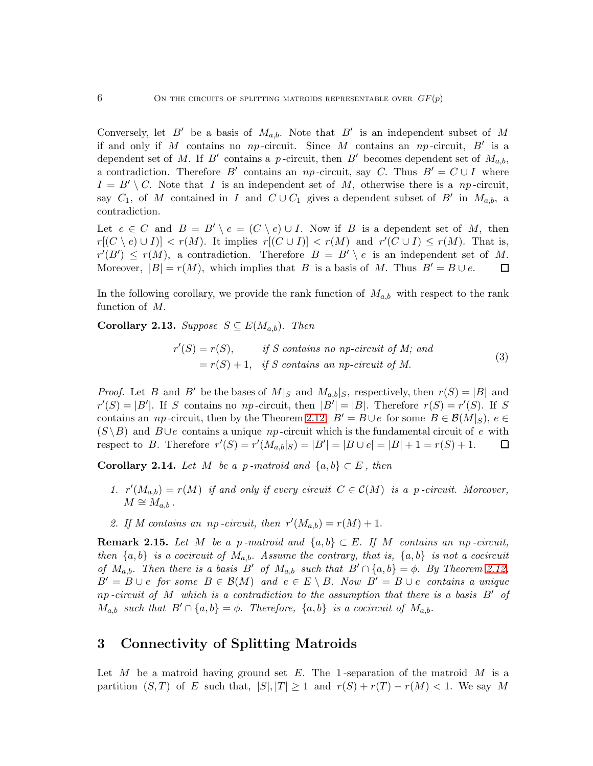Conversely, let B' be a basis of  $M_{a,b}$ . Note that B' is an independent subset of M if and only if M contains no  $np$ -circuit. Since M contains an  $np$ -circuit, B' is a dependent set of M. If B' contains a p-circuit, then B' becomes dependent set of  $M_{a,b}$ , a contradiction. Therefore B' contains an np-circuit, say C. Thus  $B' = C \cup I$  where  $I = B' \setminus C$ . Note that I is an independent set of M, otherwise there is a np-circuit, say  $C_1$ , of M contained in I and  $C \cup C_1$  gives a dependent subset of B' in  $M_{a,b}$ , a contradiction.

Let  $e \in C$  and  $B = B' \setminus e = (C \setminus e) \cup I$ . Now if B is a dependent set of M, then  $r[(C \setminus e) \cup I] < r(M)$ . It implies  $r[(C \cup I)] < r(M)$  and  $r'(C \cup I) \le r(M)$ . That is,  $r'(B') \le r(M)$ , a contradiction. Therefore  $B = B' \setminus e$  is an independent set of M. Moreover,  $|B| = r(M)$ , which implies that B is a basis of M. Thus  $B' = B \cup e$ .  $\Box$ 

In the following corollary, we provide the rank function of  $M_{a,b}$  with respect to the rank function of M.

<span id="page-5-0"></span>**Corollary 2.13.** *Suppose*  $S \subseteq E(M_{a,b})$ . *Then* 

$$
r'(S) = r(S), \t\t if S contains no np-circuit of M; and= r(S) + 1, if S contains an np-circuit of M.
$$
\t(3)

*Proof.* Let B and B' be the bases of  $M|_S$  and  $M_{a,b}|_S$ , respectively, then  $r(S) = |B|$  and  $r'(S) = |B'|$ . If S contains no np-circuit, then  $|B'| = |B|$ . Therefore  $r(S) = r'(S)$ . If S contains an *np*-circuit, then by the Theorem [2.12,](#page-4-0)  $B' = B \cup e$  for some  $B \in \mathcal{B}(M|_S)$ ,  $e \in$  $(S \ B)$  and  $B \cup e$  contains a unique np-circuit which is the fundamental circuit of e with respect to B. Therefore  $r'(S) = r'(M_{a,b}|S) = |B'| = |B \cup e| = |B| + 1 = r(S) + 1$ . 口

Corollary 2.14. *Let* M *be a p*-matroid and  $\{a, b\} \subset E$ , then

- 1.  $r'(M_{a,b}) = r(M)$  *if and only if every circuit*  $C \in \mathcal{C}(M)$  *is a p-circuit. Moreover,*  $M \cong M_{a,b}$ .
- 2. If M contains an *np -circuit, then*  $r'(M_{a,b}) = r(M) + 1$ .

**Remark 2.15.** Let M be a p-matroid and  $\{a, b\} \subset E$ . If M contains an np-circuit, *then*  $\{a, b\}$  *is a cocircuit of*  $M_{a,b}$ . *Assume the contrary, that is,*  $\{a, b\}$  *is not a cocircuit of*  $M_{a,b}$ . *Then there is a basis*  $B'$  *of*  $M_{a,b}$  *such that*  $B' \cap \{a,b\} = \phi$ . By Theorem [2.12,](#page-4-0)  $B' = B \cup e$  *for some*  $B \in \mathcal{B}(M)$  *and*  $e \in E \setminus B$ . *Now*  $B' = B \cup e$  *contains a unique* np *-circuit of* M *which is a contradiction to the assumption that there is a basis* B′ *of*  $M_{a,b}$  *such that*  $B' \cap \{a,b\} = \emptyset$ . Therefore,  $\{a,b\}$  *is a cocircuit of*  $M_{a,b}$ .

## 3 Connectivity of Splitting Matroids

Let M be a matroid having ground set E. The 1-separation of the matroid M is a partition  $(S, T)$  of E such that,  $|S|, |T| \geq 1$  and  $r(S) + r(T) - r(M) < 1$ . We say M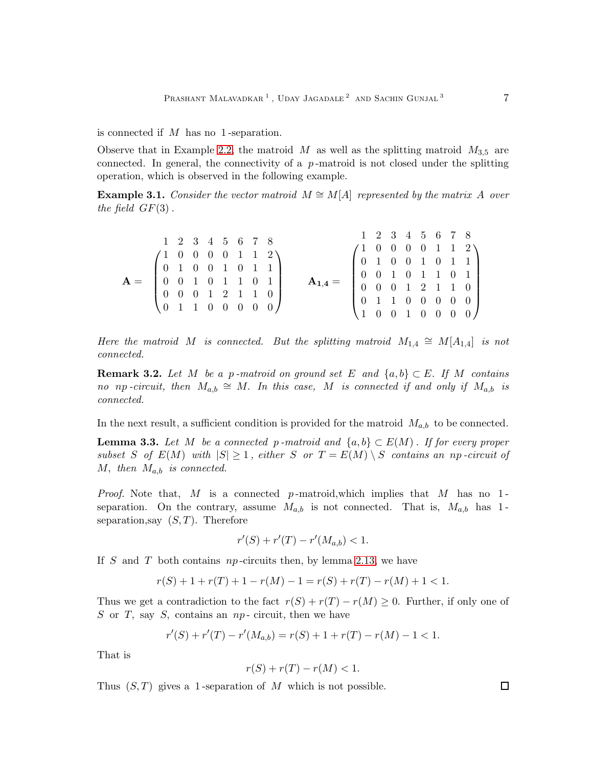is connected if M has no 1 -separation.

Observe that in Example [2.2,](#page-1-1) the matroid M as well as the splitting matroid  $M_{3,5}$  are connected. In general, the connectivity of a  $p$ -matroid is not closed under the splitting operation, which is observed in the following example.

**Example 3.1.** *Consider the vector matroid*  $M \cong M[A]$  *represented by the matrix* A *over the field*  $GF(3)$ .

|                                                                                                                                                                     | 1 2 3 4 5 6 7 8                                                                                                    |  |  |  |                          |  |  |  | 1 2 3 4 5 6 7 8                                                                                                                                                                                                                    |
|---------------------------------------------------------------------------------------------------------------------------------------------------------------------|--------------------------------------------------------------------------------------------------------------------|--|--|--|--------------------------|--|--|--|------------------------------------------------------------------------------------------------------------------------------------------------------------------------------------------------------------------------------------|
| $\mathbf{A} = \left( \begin{array}{ccccccc} 1 & 0 & 0 & 0 & 0 & 1 & 1 & 2 \\ 0 & 1 & 0 & 0 & 1 & 0 & 1 & 1 \\ 0 & 0 & 1 & 0 & 1 & 1 & 0 & 1 \\ \end{array} \right)$ |                                                                                                                    |  |  |  |                          |  |  |  |                                                                                                                                                                                                                                    |
|                                                                                                                                                                     |                                                                                                                    |  |  |  |                          |  |  |  |                                                                                                                                                                                                                                    |
|                                                                                                                                                                     |                                                                                                                    |  |  |  |                          |  |  |  | $\begin{pmatrix} 1 & 0 & 0 & 0 & 0 & 1 & 1 & 2 \\ 0 & 1 & 0 & 0 & 1 & 0 & 1 & 1 \\ 0 & 0 & 1 & 0 & 1 & 1 & 0 & 1 \\ 0 & 0 & 0 & 1 & 2 & 1 & 1 & 0 \\ 0 & 1 & 1 & 0 & 0 & 0 & 0 & 0 \\ 1 & 0 & 0 & 1 & 0 & 0 & 0 & 0 \end{pmatrix}$ |
|                                                                                                                                                                     |                                                                                                                    |  |  |  | $\mathbf{A_{1,4}}=\quad$ |  |  |  |                                                                                                                                                                                                                                    |
|                                                                                                                                                                     |                                                                                                                    |  |  |  |                          |  |  |  |                                                                                                                                                                                                                                    |
|                                                                                                                                                                     |                                                                                                                    |  |  |  |                          |  |  |  |                                                                                                                                                                                                                                    |
|                                                                                                                                                                     | $\left(\begin{array}{ccccccccc} 0 & 0 & 0 & 1 & 2 & 1 & 1 & 0 \\ 0 & 1 & 1 & 0 & 0 & 0 & 0 & 0 \end{array}\right)$ |  |  |  |                          |  |  |  |                                                                                                                                                                                                                                    |

*Here the matroid* M *is connected.* But the splitting matroid  $M_{1,4} \cong M[A_{1,4}]$  *is not connected.*

**Remark 3.2.** Let M be a p-matroid on ground set E and  $\{a, b\} \subset E$ . If M contains *no* np-circuit, then  $M_{a,b} \cong M$ . In this case, M is connected if and only if  $M_{a,b}$  is *connected.*

In the next result, a sufficient condition is provided for the matroid  $M_{a,b}$  to be connected.

<span id="page-6-0"></span>**Lemma 3.3.** Let M be a connected p-matroid and  $\{a, b\} \subset E(M)$ . If for every proper *subset* S of  $E(M)$  *with*  $|S| \geq 1$ *, either* S or  $T = E(M) \setminus S$  *contains an np-circuit of*  $M$ , then  $M_{a,b}$  is connected.

*Proof.* Note that, M is a connected p-matroid, which implies that M has no 1separation. On the contrary, assume  $M_{a,b}$  is not connected. That is,  $M_{a,b}$  has 1separation, say  $(S, T)$ . Therefore

$$
r'(S) + r'(T) - r'(M_{a,b}) < 1.
$$

If S and T both contains  $np$ -circuits then, by lemma [2.13,](#page-5-0) we have

$$
r(S) + 1 + r(T) + 1 - r(M) - 1 = r(S) + r(T) - r(M) + 1 < 1.
$$

Thus we get a contradiction to the fact  $r(S) + r(T) - r(M) \geq 0$ . Further, if only one of  $S$  or  $T$ , say  $S$ , contains an  $np$ - circuit, then we have

$$
r'(S) + r'(T) - r'(M_{a,b}) = r(S) + 1 + r(T) - r(M) - 1 < 1.
$$

That is

$$
r(S) + r(T) - r(M) < 1.
$$

Thus  $(S, T)$  gives a 1-separation of M which is not possible.

 $\Box$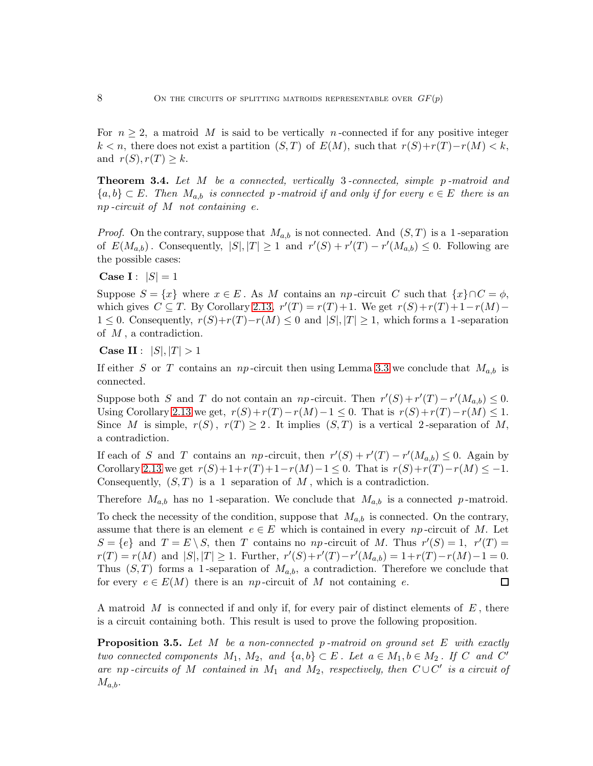For  $n \geq 2$ , a matroid M is said to be vertically n-connected if for any positive integer  $k < n$ , there does not exist a partition  $(S, T)$  of  $E(M)$ , such that  $r(S) + r(T) - r(M) < k$ , and  $r(S), r(T) \geq k$ .

Theorem 3.4. *Let* M *be a connected, vertically* 3 *-connected, simple* p *-matroid and* {a, b} ⊂ E. *Then* Ma,b *is connected* p *-matroid if and only if for every* e ∈ E *there is an* np *-circuit of* M *not containing* e.

*Proof.* On the contrary, suppose that  $M_{a,b}$  is not connected. And  $(S,T)$  is a 1-separation of  $E(M_{a,b})$ . Consequently,  $|S|, |T| \geq 1$  and  $r'(S) + r'(T) - r'(M_{a,b}) \leq 0$ . Following are the possible cases:

Case I :  $|S| = 1$ 

Suppose  $S = \{x\}$  where  $x \in E$ . As M contains an np-circuit C such that  $\{x\} \cap C = \phi$ , which gives  $C \subseteq T$ . By Corollary [2.13,](#page-5-0)  $r'(T) = r(T) + 1$ . We get  $r(S) + r(T) + 1 - r(M) 1 \leq 0$ . Consequently,  $r(S)+r(T)-r(M) \leq 0$  and  $|S|, |T| \geq 1$ , which forms a 1-separation of  $M$ , a contradiction.

**Case II** :  $|S|, |T| > 1$ 

If either S or T contains an np-circuit then using Lemma [3.3](#page-6-0) we conclude that  $M_{a,b}$  is connected.

Suppose both S and T do not contain an np-circuit. Then  $r'(S) + r'(T) - r'(M_{a,b}) \leq 0$ . Using Corollary [2.13](#page-5-0) we get,  $r(S)+r(T)-r(M)-1 \leq 0$ . That is  $r(S)+r(T)-r(M) \leq 1$ . Since M is simple,  $r(S)$ ,  $r(T) \geq 2$ . It implies  $(S,T)$  is a vertical 2-separation of M, a contradiction.

If each of S and T contains an np-circuit, then  $r'(S) + r'(T) - r'(M_{a,b}) \leq 0$ . Again by Corollary [2.13](#page-5-0) we get  $r(S)+1+r(T)+1-r(M)-1 \leq 0$ . That is  $r(S)+r(T)-r(M) \leq -1$ . Consequently,  $(S, T)$  is a 1 separation of M, which is a contradiction.

Therefore  $M_{a,b}$  has no 1-separation. We conclude that  $M_{a,b}$  is a connected p-matroid.

To check the necessity of the condition, suppose that  $M_{a,b}$  is connected. On the contrary, assume that there is an element  $e \in E$  which is contained in every np-circuit of M. Let  $S = \{e\}$  and  $T = E \setminus S$ , then T contains no np-circuit of M. Thus  $r'(S) = 1$ ,  $r'(T) =$  $r(T) = r(M)$  and  $|S|, |T| \ge 1$ . Further,  $r'(S) + r'(T) - r'(M_{a,b}) = 1 + r(T) - r(M) - 1 = 0$ . Thus  $(S, T)$  forms a 1-separation of  $M_{a,b}$ , a contradiction. Therefore we conclude that for every  $e \in E(M)$  there is an np-circuit of M not containing e. □

A matroid  $M$  is connected if and only if, for every pair of distinct elements of  $E$ , there is a circuit containing both. This result is used to prove the following proposition.

<span id="page-7-0"></span>Proposition 3.5. *Let* M *be a non-connected* p *-matroid on ground set* E *with exactly two connected components*  $M_1$ ,  $M_2$ , and  $\{a, b\} \subset E$ . Let  $a \in M_1$ ,  $b \in M_2$ . If C and C' are np-circuits of M contained in  $M_1$  and  $M_2$ , respectively, then  $C\cup C'$  is a circuit of  $M_{a,b}$ .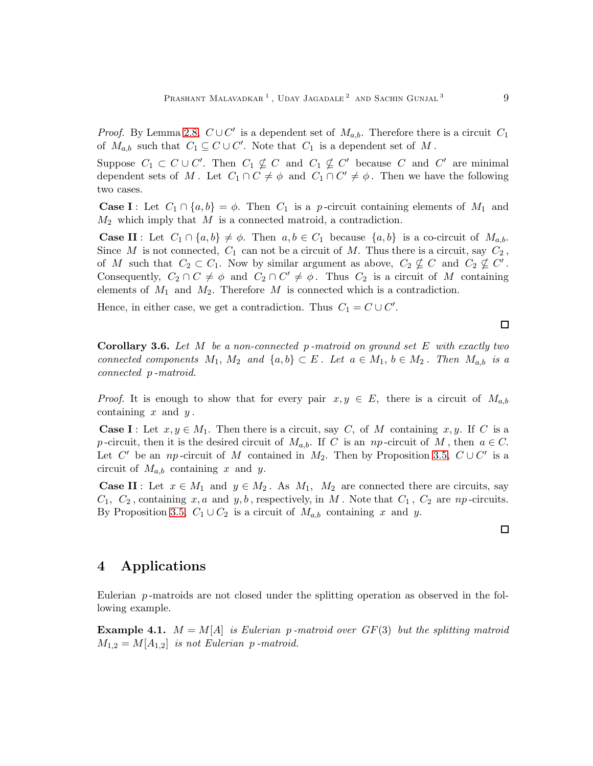*Proof.* By Lemma [2.8,](#page-2-2)  $C \cup C'$  is a dependent set of  $M_{a,b}$ . Therefore there is a circuit  $C_1$ of  $M_{a,b}$  such that  $C_1 \subseteq C \cup C'$ . Note that  $C_1$  is a dependent set of M.

Suppose  $C_1 \subset C \cup C'$ . Then  $C_1 \nsubseteq C$  and  $C_1 \nsubseteq C'$  because C and C' are minimal dependent sets of M. Let  $C_1 \cap C \neq \emptyset$  and  $C_1 \cap C' \neq \emptyset$ . Then we have the following two cases.

**Case I**: Let  $C_1 \cap \{a, b\} = \phi$ . Then  $C_1$  is a p-circuit containing elements of  $M_1$  and  $M_2$  which imply that M is a connected matroid, a contradiction.

**Case II**: Let  $C_1 \cap \{a, b\} \neq \emptyset$ . Then  $a, b \in C_1$  because  $\{a, b\}$  is a co-circuit of  $M_{a,b}$ . Since M is not connected,  $C_1$  can not be a circuit of M. Thus there is a circuit, say  $C_2$ , of M such that  $C_2 \subset C_1$ . Now by similar argument as above,  $C_2 \nsubseteq C$  and  $C_2 \nsubseteq C'$ . Consequently,  $C_2 \cap C \neq \emptyset$  and  $C_2 \cap C' \neq \emptyset$ . Thus  $C_2$  is a circuit of M containing elements of  $M_1$  and  $M_2$ . Therefore  $M$  is connected which is a contradiction.

Hence, in either case, we get a contradiction. Thus  $C_1 = C \cup C'$ .

Corollary 3.6. *Let* M *be a non-connected* p *-matroid on ground set* E *with exactly two connected components*  $M_1$ ,  $M_2$  *and*  $\{a, b\} \subset E$ *. Let*  $a \in M_1$ ,  $b \in M_2$ *. Then*  $M_{a,b}$  *is a connected* p *-matroid.*

*Proof.* It is enough to show that for every pair  $x, y \in E$ , there is a circuit of  $M_{a,b}$ containing  $x$  and  $y$ .

**Case I**: Let  $x, y \in M_1$ . Then there is a circuit, say C, of M containing x, y. If C is a p-circuit, then it is the desired circuit of  $M_{a,b}$ . If C is an np-circuit of M, then  $a \in C$ . Let C' be an np-circuit of M contained in  $M_2$ . Then by Proposition [3.5,](#page-7-0)  $C\cup C'$  is a circuit of  $M_{a,b}$  containing x and y.

**Case II**: Let  $x \in M_1$  and  $y \in M_2$ . As  $M_1$ ,  $M_2$  are connected there are circuits, say  $C_1, C_2$ , containing x, a and y, b, respectively, in M. Note that  $C_1$ ,  $C_2$  are np-circuits. By Proposition [3.5,](#page-7-0)  $C_1 \cup C_2$  is a circuit of  $M_{a,b}$  containing x and y.

 $\Box$ 

 $\Box$ 

## 4 Applications

Eulerian  $p$ -matroids are not closed under the splitting operation as observed in the following example.

**Example 4.1.**  $M = M[A]$  *is Eulerian p-matroid over*  $GF(3)$  *but the splitting matroid*  $M_{1,2} = M[A_{1,2}]$  *is not Eulerian p-matroid.*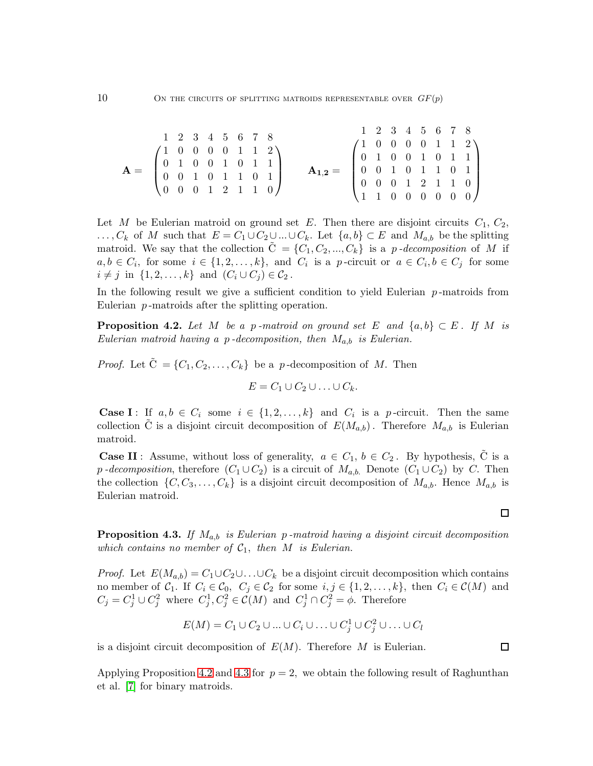$$
\mathbf{A} = \begin{pmatrix} 1 & 2 & 3 & 4 & 5 & 6 & 7 & 8 \\ 1 & 0 & 0 & 0 & 0 & 1 & 1 & 2 \\ 0 & 1 & 0 & 0 & 1 & 0 & 1 & 1 \\ 0 & 0 & 1 & 0 & 1 & 1 & 0 & 1 \\ 0 & 0 & 0 & 1 & 2 & 1 & 1 & 0 \end{pmatrix} \qquad \mathbf{A}_{1,2} = \begin{pmatrix} 1 & 2 & 3 & 4 & 5 & 6 & 7 & 8 \\ 1 & 0 & 0 & 0 & 0 & 1 & 1 & 2 \\ 0 & 1 & 0 & 0 & 1 & 0 & 1 & 1 \\ 0 & 0 & 0 & 1 & 2 & 1 & 1 & 0 \\ 1 & 1 & 0 & 0 & 0 & 0 & 0 & 0 \end{pmatrix}
$$

Let M be Eulerian matroid on ground set E. Then there are disjoint circuits  $C_1, C_2$ ,  $\ldots, C_k$  of M such that  $E = C_1 \cup C_2 \cup \ldots \cup C_k$ . Let  $\{a, b\} \subset E$  and  $M_{a,b}$  be the splitting matroid. We say that the collection  $C = \{C_1, C_2, ..., C_k\}$  is a *p*-decomposition of M if  $a, b \in C_i$ , for some  $i \in \{1, 2, ..., k\}$ , and  $C_i$  is a p-circuit or  $a \in C_i$ ,  $b \in C_j$  for some  $i \neq j$  in  $\{1, 2, \ldots, k\}$  and  $(C_i \cup C_j) \in C_2$ .

In the following result we give a sufficient condition to yield Eulerian  $p$ -matroids from Eulerian p-matroids after the splitting operation.

<span id="page-9-0"></span>**Proposition 4.2.** Let M be a p-matroid on ground set E and  $\{a, b\} \subset E$ . If M is *Eulerian matroid having a* p *-decomposition, then* Ma,b *is Eulerian.*

*Proof.* Let  $\tilde{C} = \{C_1, C_2, \ldots, C_k\}$  be a p-decomposition of M. Then

$$
E=C_1\cup C_2\cup\ldots\cup C_k.
$$

**Case I**: If  $a, b \in C_i$  some  $i \in \{1, 2, ..., k\}$  and  $C_i$  is a p-circuit. Then the same collection C is a disjoint circuit decomposition of  $E(M_{a,b})$ . Therefore  $M_{a,b}$  is Eulerian matroid.

**Case II**: Assume, without loss of generality,  $a \in C_1$ ,  $b \in C_2$ . By hypothesis, C is a p *-decomposition*, therefore  $(C_1 \cup C_2)$  is a circuit of  $M_{a,b}$ . Denote  $(C_1 \cup C_2)$  by C. Then the collection  $\{C, C_3, \ldots, C_k\}$  is a disjoint circuit decomposition of  $M_{a,b}$ . Hence  $M_{a,b}$  is Eulerian matroid.

<span id="page-9-1"></span>Proposition 4.3. *If* Ma,b *is Eulerian* p *-matroid having a disjoint circuit decomposition which contains no member of*  $C_1$ , *then*  $M$  *is Eulerian.* 

*Proof.* Let  $E(M_{a,b}) = C_1 \cup C_2 \cup \ldots \cup C_k$  be a disjoint circuit decomposition which contains no member of  $C_1$ . If  $C_i \in C_0$ ,  $C_j \in C_2$  for some  $i, j \in \{1, 2, ..., k\}$ , then  $C_i \in C(M)$  and  $C_j = C_j^1 \cup C_j^2$  where  $C_j^1$  $\mathcal{L}_j^1, \mathcal{C}_j^2 \in \mathcal{C}(M)$  and  $\mathcal{C}_j^1 \cap \mathcal{C}_j^2 = \phi$ . Therefore

$$
E(M) = C_1 \cup C_2 \cup \ldots \cup C_i \cup \ldots \cup C_j^1 \cup C_j^2 \cup \ldots \cup C_l
$$

is a disjoint circuit decomposition of  $E(M)$ . Therefore M is Eulerian.

Applying Proposition [4.2](#page-9-0) and [4.3](#page-9-1) for  $p = 2$ , we obtain the following result of Raghunthan et al. [\[7\]](#page-12-1) for binary matroids.

 $\Box$ 

 $\Box$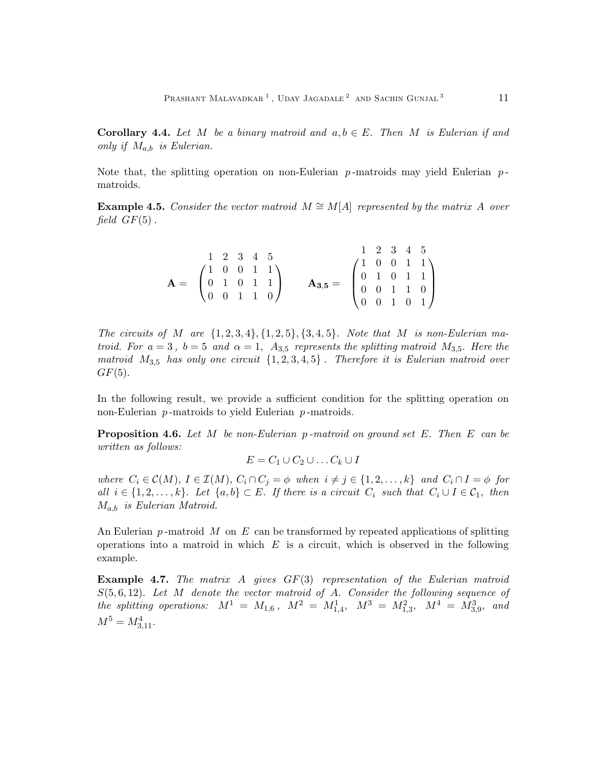**Corollary 4.4.** Let M be a binary matroid and  $a, b \in E$ . Then M is Eulerian if and *only if* Ma,b *is Eulerian.*

Note that, the splitting operation on non-Eulerian  $p$ -matroids may yield Eulerian  $p$ matroids.

<span id="page-10-0"></span>**Example 4.5.** Consider the vector matroid  $M \cong M[A]$  represented by the matrix A over *field*  $GF(5)$ .

|                                                                                                          |  |  | $1\quad 2\quad 3\quad 4\quad 5$ |                                                                                                                                     |  |  | $1\quad 2\quad 3\quad 4\quad 5$ |
|----------------------------------------------------------------------------------------------------------|--|--|---------------------------------|-------------------------------------------------------------------------------------------------------------------------------------|--|--|---------------------------------|
|                                                                                                          |  |  |                                 |                                                                                                                                     |  |  |                                 |
| $\mathbf{A} = \begin{pmatrix} 1 & 0 & 0 & 1 & 1 \\ 0 & 1 & 0 & 1 & 1 \\ 0 & 0 & 1 & 1 & 0 \end{pmatrix}$ |  |  |                                 |                                                                                                                                     |  |  |                                 |
|                                                                                                          |  |  |                                 |                                                                                                                                     |  |  |                                 |
|                                                                                                          |  |  |                                 | $\mathbf{A}_{3,5} = \begin{pmatrix} 1 & 0 & 0 & 1 & 1 \\ 0 & 1 & 0 & 1 & 1 \\ 0 & 0 & 1 & 1 & 0 \\ 0 & 0 & 1 & 0 & 1 \end{pmatrix}$ |  |  |                                 |

*The circuits of* M are  $\{1, 2, 3, 4\}, \{1, 2, 5\}, \{3, 4, 5\}$ . Note that M is non-Eulerian ma*troid.* For  $a = 3$ ,  $b = 5$  and  $\alpha = 1$ ,  $A_{3,5}$  represents the splitting matroid  $M_{3,5}$ . Here the *matroid* M3,<sup>5</sup> *has only one circuit* {1, 2, 3, 4, 5} *. Therefore it is Eulerian matroid over*  $GF(5)$ .

In the following result, we provide a sufficient condition for the splitting operation on non-Eulerian  $p$ -matroids to yield Eulerian  $p$ -matroids.

Proposition 4.6. *Let* M *be non-Eulerian* p *-matroid on ground set* E. *Then* E *can be written as follows:*

 $E = C_1 \cup C_2 \cup \ldots C_k \cup I$ 

*where*  $C_i \in \mathcal{C}(M)$ ,  $I \in \mathcal{I}(M)$ ,  $C_i \cap C_j = \phi$  *when*  $i \neq j \in \{1, 2, ..., k\}$  *and*  $C_i \cap I = \phi$  *for all*  $i \in \{1, 2, \ldots, k\}$ . Let  $\{a, b\} \subset E$ . If there is a circuit  $C_i$  such that  $C_i \cup I \in C_1$ , then Ma,b *is Eulerian Matroid.*

An Eulerian  $p$ -matroid M on E can be transformed by repeated applications of splitting operations into a matroid in which  $E$  is a circuit, which is observed in the following example.

Example 4.7. *The matrix* A *gives* GF(3) *representation of the Eulerian matroid* S(5, 6, 12). *Let* M *denote the vector matroid of* A. *Consider the following sequence of*  $the$  splitting operations:  $M^1 = M_{1,6}$ ,  $M^2 = M_{1,4}^1$ ,  $M^3 = M_{1,3}^2$ ,  $M^4 = M_{3,9}^3$ , and  $M^5 = M_{3,11}^4$ .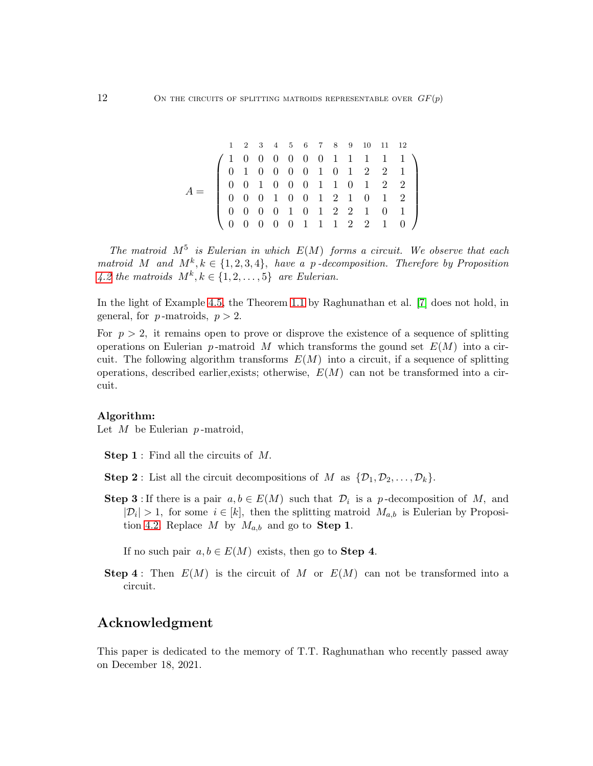$$
A = \left(\begin{array}{cccccccccc} 1 & 2 & 3 & 4 & 5 & 6 & 7 & 8 & 9 & 10 & 11 & 12 \\ 1 & 0 & 0 & 0 & 0 & 0 & 0 & 1 & 1 & 1 & 1 & 1 \\ 0 & 1 & 0 & 0 & 0 & 0 & 1 & 0 & 1 & 2 & 2 & 1 \\ 0 & 0 & 1 & 0 & 0 & 0 & 1 & 1 & 0 & 1 & 2 & 2 \\ 0 & 0 & 0 & 1 & 0 & 0 & 1 & 2 & 1 & 0 & 1 & 2 \\ 0 & 0 & 0 & 0 & 1 & 0 & 1 & 2 & 2 & 1 & 0 & 1 \\ 0 & 0 & 0 & 0 & 0 & 1 & 1 & 1 & 2 & 2 & 1 & 0 \end{array}\right)
$$

The matroid  $M^5$  is Eulerian in which  $E(M)$  forms a circuit. We observe that each *matroid* M and  $M^k, k \in \{1, 2, 3, 4\}$ , *have a p-decomposition. Therefore by Proposition* [4.2](#page-9-0) the matroids  $M^k, k \in \{1, 2, \ldots, 5\}$  are Eulerian.

In the light of Example [4.5,](#page-10-0) the Theorem [1.1](#page-0-0) by Raghunathan et al. [\[7\]](#page-12-1) does not hold, in general, for  $p$ -matroids,  $p > 2$ .

For  $p > 2$ , it remains open to prove or disprove the existence of a sequence of splitting operations on Eulerian p-matroid M which transforms the gound set  $E(M)$  into a circuit. The following algorithm transforms  $E(M)$  into a circuit, if a sequence of splitting operations, described earlier, exists; otherwise,  $E(M)$  can not be transformed into a circuit.

#### Algorithm:

Let  $M$  be Eulerian  $p$ -matroid,

Step 1 : Find all the circuits of M.

- **Step 2**: List all the circuit decompositions of M as  $\{\mathcal{D}_1, \mathcal{D}_2, \ldots, \mathcal{D}_k\}.$
- **Step 3**: If there is a pair  $a, b \in E(M)$  such that  $\mathcal{D}_i$  is a p-decomposition of M, and  $|\mathcal{D}_i| > 1$ , for some  $i \in [k]$ , then the splitting matroid  $M_{a,b}$  is Eulerian by Proposi-tion [4.2.](#page-9-0) Replace M by  $M_{a,b}$  and go to **Step 1**.

If no such pair  $a, b \in E(M)$  exists, then go to **Step 4**.

**Step 4**: Then  $E(M)$  is the circuit of M or  $E(M)$  can not be transformed into a circuit.

## Acknowledgment

This paper is dedicated to the memory of T.T. Raghunathan who recently passed away on December 18, 2021.